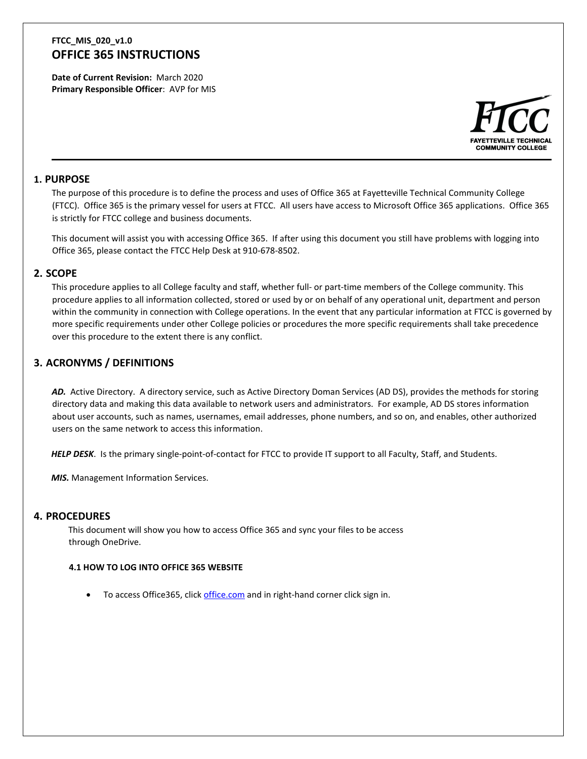**Date of Current Revision:** March 2020 **Primary Responsible Officer**: AVP for MIS



### **1. PURPOSE**

The purpose of this procedure is to define the process and uses of Office 365 at Fayetteville Technical Community College (FTCC). Office 365 is the primary vessel for users at FTCC. All users have access to Microsoft Office 365 applications. Office 365 is strictly for FTCC college and business documents.

This document will assist you with accessing Office 365. If after using this document you still have problems with logging into Office 365, please contact the FTCC Help Desk at 910-678-8502.

### **2. SCOPE**

This procedure applies to all College faculty and staff, whether full- or part-time members of the College community. This procedure applies to all information collected, stored or used by or on behalf of any operational unit, department and person within the community in connection with College operations. In the event that any particular information at FTCC is governed by more specific requirements under other College policies or procedures the more specific requirements shall take precedence over this procedure to the extent there is any conflict.

## **3. ACRONYMS / DEFINITIONS**

*AD.* Active Directory. A directory service, such as Active Directory Doman Services (AD DS), provides the methods for storing directory data and making this data available to network users and administrators. For example, AD DS stores information about user accounts, such as names, usernames, email addresses, phone numbers, and so on, and enables, other authorized users on the same network to access this information.

*HELP DESK*. Is the primary single-point-of-contact for FTCC to provide IT support to all Faculty, Staff, and Students.

**MIS.** Management Information Services.

### **4. PROCEDURES**

This document will show you how to access Office 365 and sync your files to be access through OneDrive.

#### **4.1 HOW TO LOG INTO OFFICE 365 WEBSITE**

• To access Office365, click [office.com](https://www.office.com/) and in right-hand corner click sign in.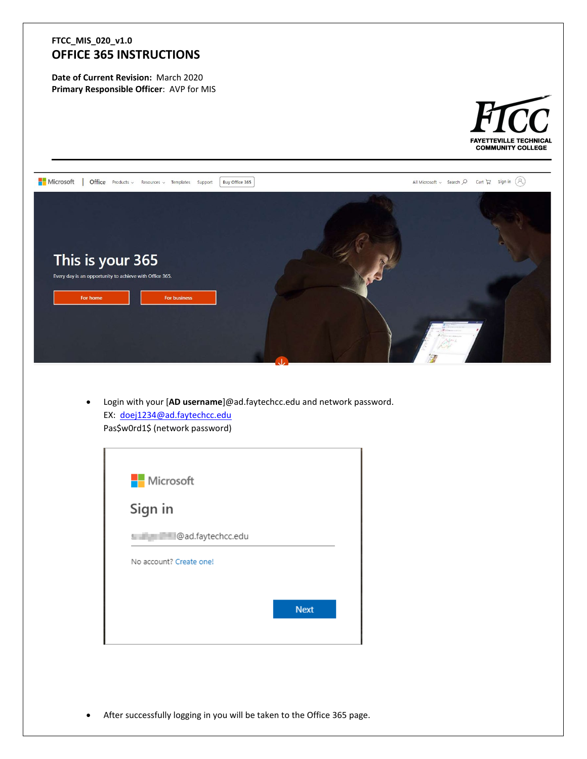**Date of Current Revision:** March 2020 **Primary Responsible Officer**: AVP for MIS





• Login with your [**AD username**]@ad.faytechcc.edu and network password. EX: [doej1234@ad.faytechcc.edu](mailto:doej1234@ad.faytechcc.edu) Pas\$w0rd1\$ (network password)

| <b>Nicrosoft</b>        |             |
|-------------------------|-------------|
| Sign in                 |             |
| s and @ad.faytechcc.edu |             |
| No account? Create one! |             |
|                         |             |
|                         | <b>Next</b> |

• After successfully logging in you will be taken to the Office 365 page.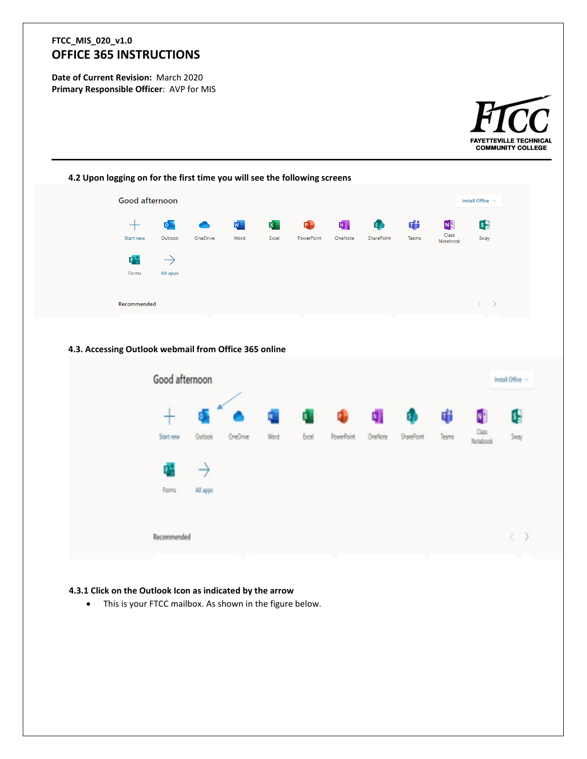**Date of Current Revision:** March 2020 **Primary Responsible Officer**: AVP for MIS





### **4.3.1 Click on the Outlook Icon as indicated by the arrow**

• This is your FTCC mailbox. As shown in the figure below.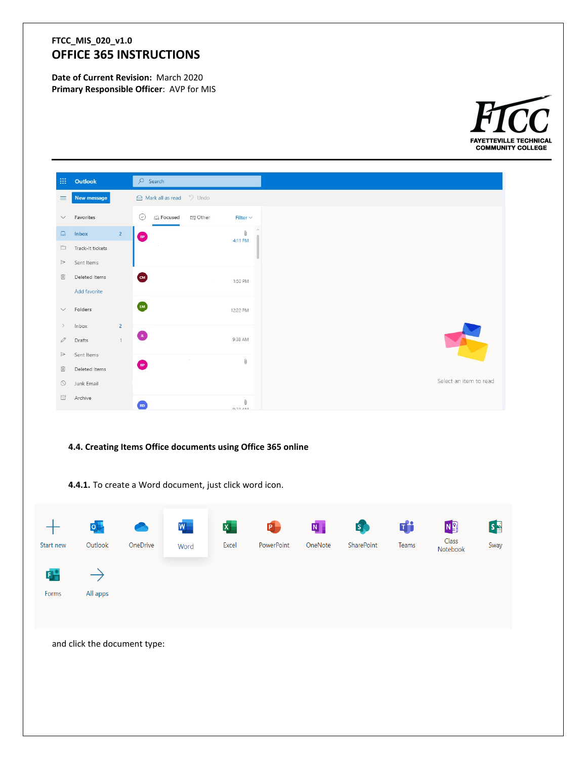**Date of Current Revision:** March 2020 **Primary Responsible Officer**: AVP for MIS



| 田。                           | Outlook          |                | $O$ Search                |                   |                                                                                                                                                                                                                                                                                                                                                                                                                                                                                                                                                                                                                                                                                |
|------------------------------|------------------|----------------|---------------------------|-------------------|--------------------------------------------------------------------------------------------------------------------------------------------------------------------------------------------------------------------------------------------------------------------------------------------------------------------------------------------------------------------------------------------------------------------------------------------------------------------------------------------------------------------------------------------------------------------------------------------------------------------------------------------------------------------------------|
| $\equiv$                     | New message      |                | A Mark all as read D Undo |                   |                                                                                                                                                                                                                                                                                                                                                                                                                                                                                                                                                                                                                                                                                |
|                              | $\vee$ Favorites |                | $\odot$<br>G Focused      | □ Other           | Filter $\vee$                                                                                                                                                                                                                                                                                                                                                                                                                                                                                                                                                                                                                                                                  |
|                              | $\Box$ Inbox     | $\overline{2}$ | <b>BP</b>                 |                   | $\mathbf 0$<br>4:11 PM                                                                                                                                                                                                                                                                                                                                                                                                                                                                                                                                                                                                                                                         |
|                              | Track-It tickets |                | $\sim$ $\sim$             |                   |                                                                                                                                                                                                                                                                                                                                                                                                                                                                                                                                                                                                                                                                                |
| $\Rightarrow$                | Sent Items       |                |                           |                   |                                                                                                                                                                                                                                                                                                                                                                                                                                                                                                                                                                                                                                                                                |
| 面                            | Deleted Items    |                | $\bullet$                 | <b>CONTRACTOR</b> | 1:50 PM                                                                                                                                                                                                                                                                                                                                                                                                                                                                                                                                                                                                                                                                        |
|                              | Add favorite     |                |                           |                   |                                                                                                                                                                                                                                                                                                                                                                                                                                                                                                                                                                                                                                                                                |
| $\vee$                       | Folders          |                | $\mathbf{L}$              |                   | 12:22 PM                                                                                                                                                                                                                                                                                                                                                                                                                                                                                                                                                                                                                                                                       |
| $\left\langle \right\rangle$ | Inbox            | $\overline{2}$ |                           |                   |                                                                                                                                                                                                                                                                                                                                                                                                                                                                                                                                                                                                                                                                                |
| 0                            | Drafts           | $\overline{1}$ | O                         |                   | 9:38 AM                                                                                                                                                                                                                                                                                                                                                                                                                                                                                                                                                                                                                                                                        |
| $\Rightarrow$                | Sent Items       |                |                           | $-100 -$          |                                                                                                                                                                                                                                                                                                                                                                                                                                                                                                                                                                                                                                                                                |
| 面                            | Deleted Items    |                | $\bigoplus$               |                   | $\mathbb{O}$                                                                                                                                                                                                                                                                                                                                                                                                                                                                                                                                                                                                                                                                   |
| $\circ$                      | Junk Email       |                |                           |                   |                                                                                                                                                                                                                                                                                                                                                                                                                                                                                                                                                                                                                                                                                |
| 目                            | Archive          |                | RD                        |                   | $[] \centering \includegraphics[width=0.47\textwidth]{images/01.png} \caption{The first two different values of $1000$ and $1000$ (black) and $1000$ (black) are shown in the left two different values of $1000$ and $1000$ (black) are shown in the right two different values of $1000$ and $1000$ (black) are shown in the right two different values of $1000$ and $1000$ (black) are shown in the right two different values of $1000$ and $1000$ (black) are shown in the right two different values of $1000$ and $1000$ (black) are shown in the right two different values of $1000$ and $1000$ (black) are shown in the right two different values of $1$<br>0.22AA |

### **4.4. Creating Items Office documents using Office 365 online**

**4.4.1.** To create a Word document, just click word icon.

| Start new  | $\overline{\mathsf{p}}$<br>Outlook | ◚<br>OneDrive                | $\vert W \vert$<br>Word | $\mathbf{x}$ .<br>Excel | $\blacksquare$<br>PowerPoint | $\mathbf{N}$ .<br>OneNote | <b>S</b><br>SharePoint | Ŵ<br>Teams | N<br>Class<br>Notebook | $S_{\frac{1}{2}}$<br>Sway |
|------------|------------------------------------|------------------------------|-------------------------|-------------------------|------------------------------|---------------------------|------------------------|------------|------------------------|---------------------------|
| 다<br>Forms | All apps                           |                              |                         |                         |                              |                           |                        |            |                        |                           |
|            |                                    | and click the document type: |                         |                         |                              |                           |                        |            |                        |                           |
|            |                                    |                              |                         |                         |                              |                           |                        |            |                        |                           |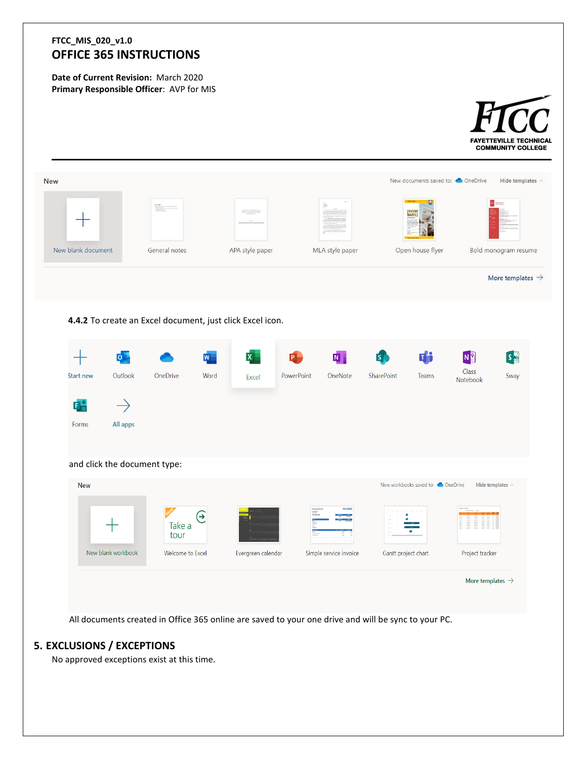**Date of Current Revision:** March 2020 **Primary Responsible Officer**: AVP for MIS



## **5. EXCLUSIONS / EXCEPTIONS**

No approved exceptions exist at this time.